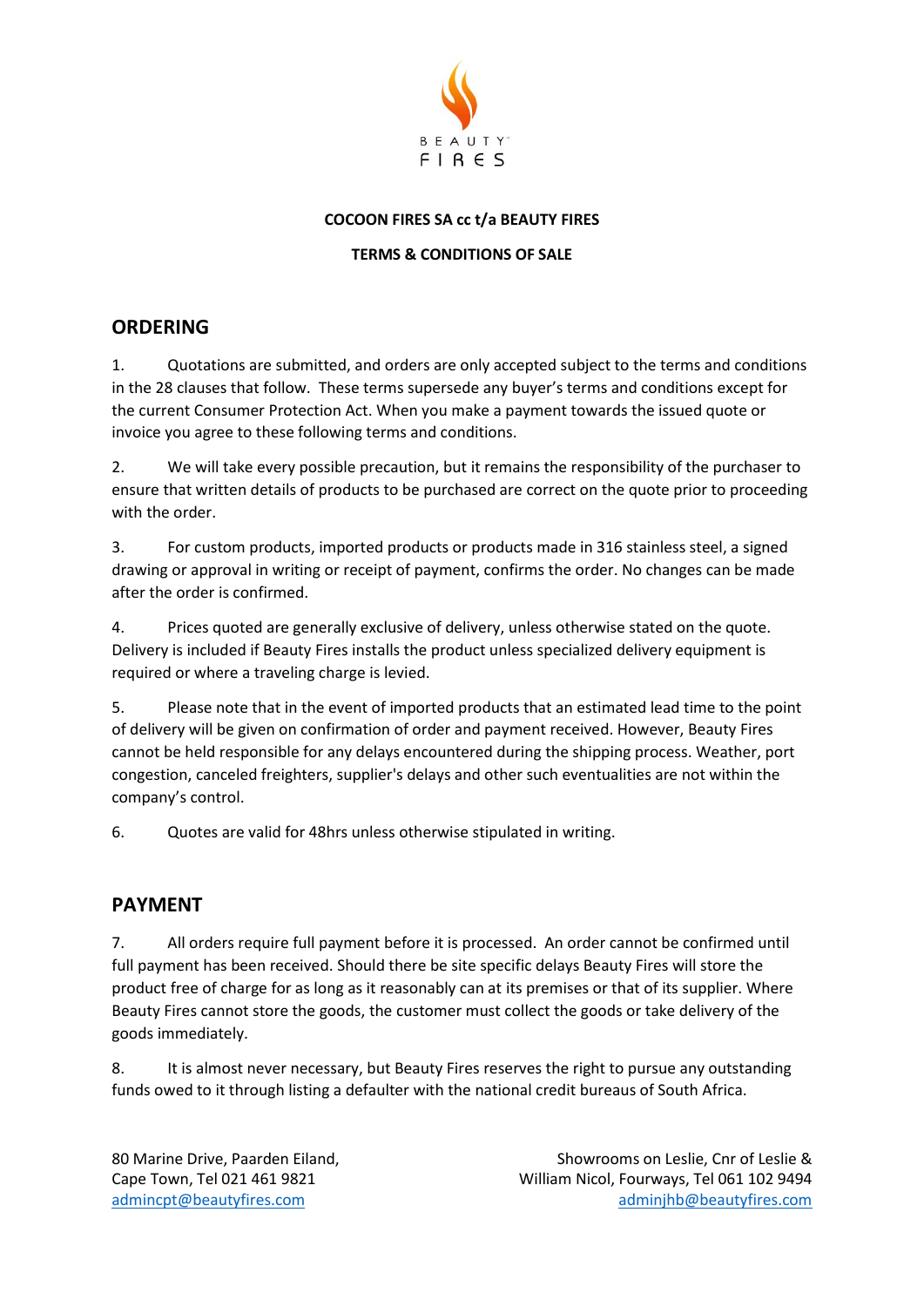

#### **COCOON FIRES SA cc t/a BEAUTY FIRES**

#### **TERMS & CONDITIONS OF SALE**

### **ORDERING**

1. Quotations are submitted, and orders are only accepted subject to the terms and conditions in the 28 clauses that follow. These terms supersede any buyer's terms and conditions except for the current Consumer Protection Act. When you make a payment towards the issued quote or invoice you agree to these following terms and conditions.

2. We will take every possible precaution, but it remains the responsibility of the purchaser to ensure that written details of products to be purchased are correct on the quote prior to proceeding with the order.

3. For custom products, imported products or products made in 316 stainless steel, a signed drawing or approval in writing or receipt of payment, confirms the order. No changes can be made after the order is confirmed.

4. Prices quoted are generally exclusive of delivery, unless otherwise stated on the quote. Delivery is included if Beauty Fires installs the product unless specialized delivery equipment is required or where a traveling charge is levied.

5. Please note that in the event of imported products that an estimated lead time to the point of delivery will be given on confirmation of order and payment received. However, Beauty Fires cannot be held responsible for any delays encountered during the shipping process. Weather, port congestion, canceled freighters, supplier's delays and other such eventualities are not within the company's control.

6. Quotes are valid for 48hrs unless otherwise stipulated in writing.

### **PAYMENT**

7. All orders require full payment before it is processed. An order cannot be confirmed until full payment has been received. Should there be site specific delays Beauty Fires will store the product free of charge for as long as it reasonably can at its premises or that of its supplier. Where Beauty Fires cannot store the goods, the customer must collect the goods or take delivery of the goods immediately.

8. It is almost never necessary, but Beauty Fires reserves the right to pursue any outstanding funds owed to it through listing a defaulter with the national credit bureaus of South Africa.

80 Marine Drive, Paarden Eiland, Showrooms on Leslie, Cnr of Leslie & Cape Town, Tel 021 461 9821 William Nicol, Fourways, Tel 061 102 9494 [admincpt@beautyfires.com](mailto:admincpt@beautyfires.com) [adminjhb@beautyfires.com](mailto:adminjhb@beautyfires.com)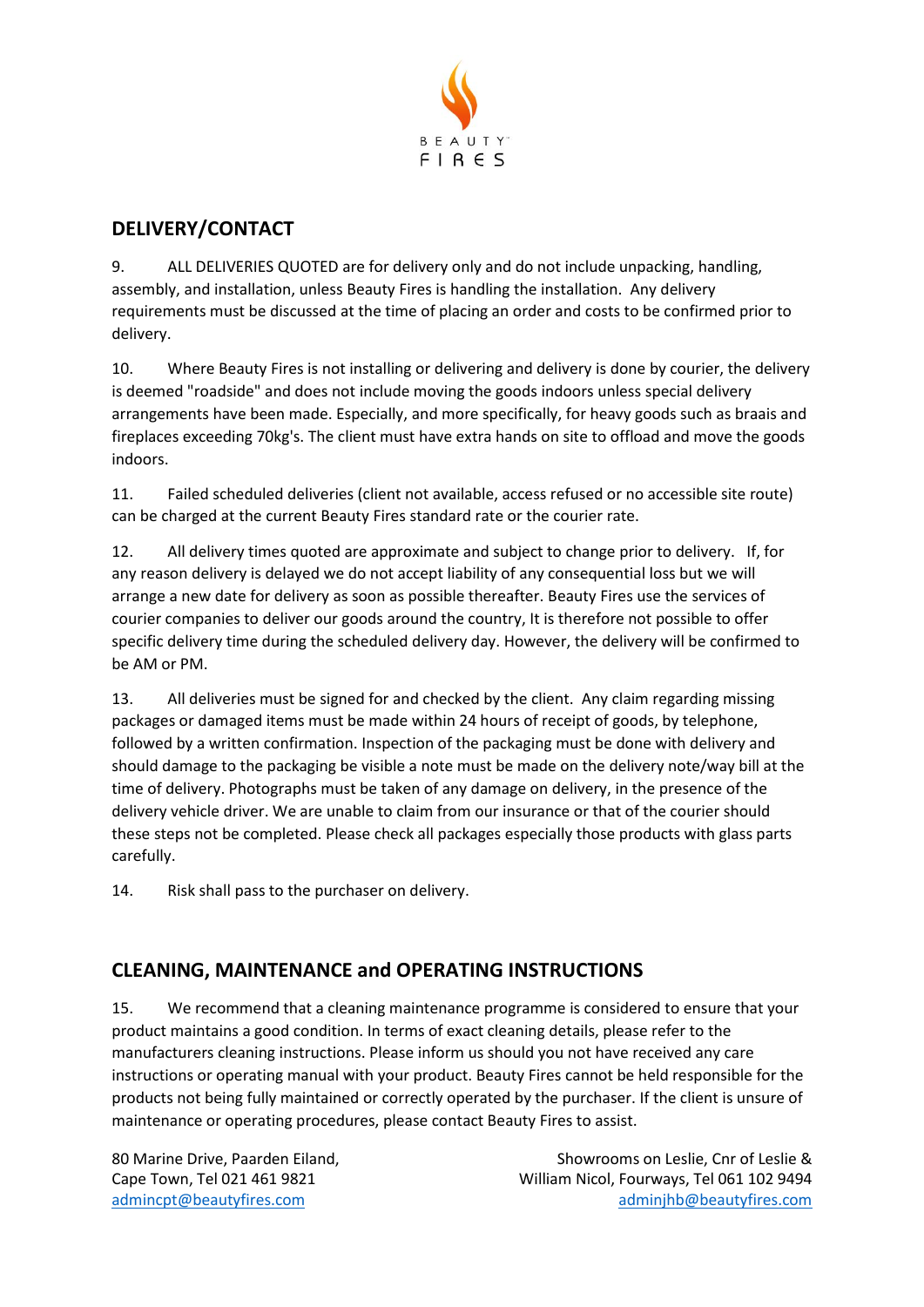

# **DELIVERY/CONTACT**

9. ALL DELIVERIES QUOTED are for delivery only and do not include unpacking, handling, assembly, and installation, unless Beauty Fires is handling the installation. Any delivery requirements must be discussed at the time of placing an order and costs to be confirmed prior to delivery.

10. Where Beauty Fires is not installing or delivering and delivery is done by courier, the delivery is deemed "roadside" and does not include moving the goods indoors unless special delivery arrangements have been made. Especially, and more specifically, for heavy goods such as braais and fireplaces exceeding 70kg's. The client must have extra hands on site to offload and move the goods indoors.

11. Failed scheduled deliveries (client not available, access refused or no accessible site route) can be charged at the current Beauty Fires standard rate or the courier rate.

12. All delivery times quoted are approximate and subject to change prior to delivery. If, for any reason delivery is delayed we do not accept liability of any consequential loss but we will arrange a new date for delivery as soon as possible thereafter. Beauty Fires use the services of courier companies to deliver our goods around the country, It is therefore not possible to offer specific delivery time during the scheduled delivery day. However, the delivery will be confirmed to be AM or PM.

13. All deliveries must be signed for and checked by the client. Any claim regarding missing packages or damaged items must be made within 24 hours of receipt of goods, by telephone, followed by a written confirmation. Inspection of the packaging must be done with delivery and should damage to the packaging be visible a note must be made on the delivery note/way bill at the time of delivery. Photographs must be taken of any damage on delivery, in the presence of the delivery vehicle driver. We are unable to claim from our insurance or that of the courier should these steps not be completed. Please check all packages especially those products with glass parts carefully.

14. Risk shall pass to the purchaser on delivery.

# **CLEANING, MAINTENANCE and OPERATING INSTRUCTIONS**

15. We recommend that a cleaning maintenance programme is considered to ensure that your product maintains a good condition. In terms of exact cleaning details, please refer to the manufacturers cleaning instructions. Please inform us should you not have received any care instructions or operating manual with your product. Beauty Fires cannot be held responsible for the products not being fully maintained or correctly operated by the purchaser. If the client is unsure of maintenance or operating procedures, please contact Beauty Fires to assist.

80 Marine Drive, Paarden Eiland, Showrooms on Leslie, Cnr of Leslie & Cape Town, Tel 021 461 9821 William Nicol, Fourways, Tel 061 102 9494 [admincpt@beautyfires.com](mailto:admincpt@beautyfires.com) [adminjhb@beautyfires.com](mailto:adminjhb@beautyfires.com)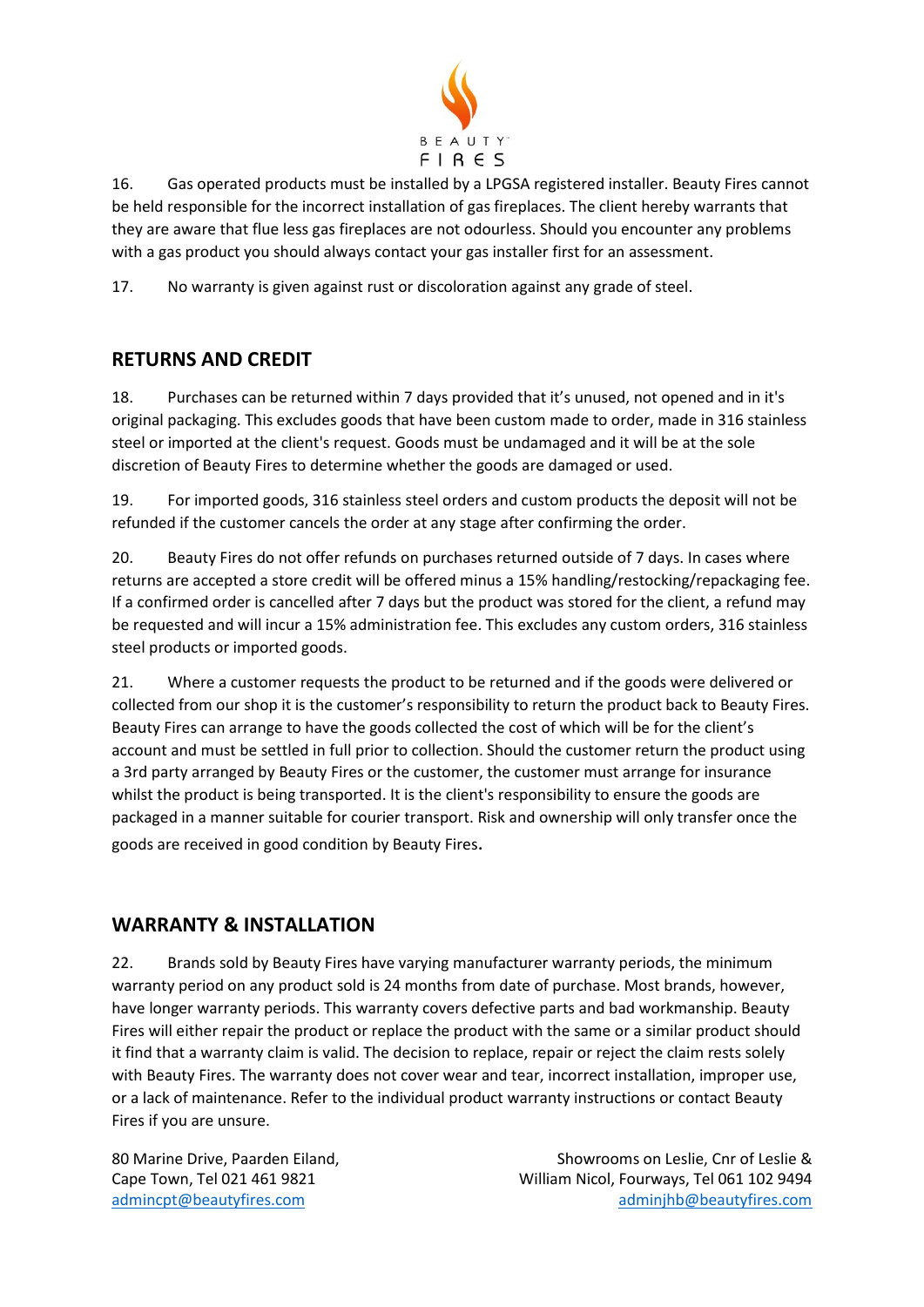

16. Gas operated products must be installed by a LPGSA registered installer. Beauty Fires cannot be held responsible for the incorrect installation of gas fireplaces. The client hereby warrants that they are aware that flue less gas fireplaces are not odourless. Should you encounter any problems with a gas product you should always contact your gas installer first for an assessment.

17. No warranty is given against rust or discoloration against any grade of steel.

## **RETURNS AND CREDIT**

18. Purchases can be returned within 7 days provided that it's unused, not opened and in it's original packaging. This excludes goods that have been custom made to order, made in 316 stainless steel or imported at the client's request. Goods must be undamaged and it will be at the sole discretion of Beauty Fires to determine whether the goods are damaged or used.

19. For imported goods, 316 stainless steel orders and custom products the deposit will not be refunded if the customer cancels the order at any stage after confirming the order.

20. Beauty Fires do not offer refunds on purchases returned outside of 7 days. In cases where returns are accepted a store credit will be offered minus a 15% handling/restocking/repackaging fee. If a confirmed order is cancelled after 7 days but the product was stored for the client, a refund may be requested and will incur a 15% administration fee. This excludes any custom orders, 316 stainless steel products or imported goods.

21. Where a customer requests the product to be returned and if the goods were delivered or collected from our shop it is the customer's responsibility to return the product back to Beauty Fires. Beauty Fires can arrange to have the goods collected the cost of which will be for the client's account and must be settled in full prior to collection. Should the customer return the product using a 3rd party arranged by Beauty Fires or the customer, the customer must arrange for insurance whilst the product is being transported. It is the client's responsibility to ensure the goods are packaged in a manner suitable for courier transport. Risk and ownership will only transfer once the goods are received in good condition by Beauty Fires.

## **WARRANTY & INSTALLATION**

22. Brands sold by Beauty Fires have varying manufacturer warranty periods, the minimum warranty period on any product sold is 24 months from date of purchase. Most brands, however, have longer warranty periods. This warranty covers defective parts and bad workmanship. Beauty Fires will either repair the product or replace the product with the same or a similar product should it find that a warranty claim is valid. The decision to replace, repair or reject the claim rests solely with Beauty Fires. The warranty does not cover wear and tear, incorrect installation, improper use, or a lack of maintenance. Refer to the individual product warranty instructions or contact Beauty Fires if you are unsure.

80 Marine Drive, Paarden Eiland, Showrooms on Leslie, Cnr of Leslie & Cape Town, Tel 021 461 9821 William Nicol, Fourways, Tel 061 102 9494 [admincpt@beautyfires.com](mailto:admincpt@beautyfires.com) [adminjhb@beautyfires.com](mailto:adminjhb@beautyfires.com)